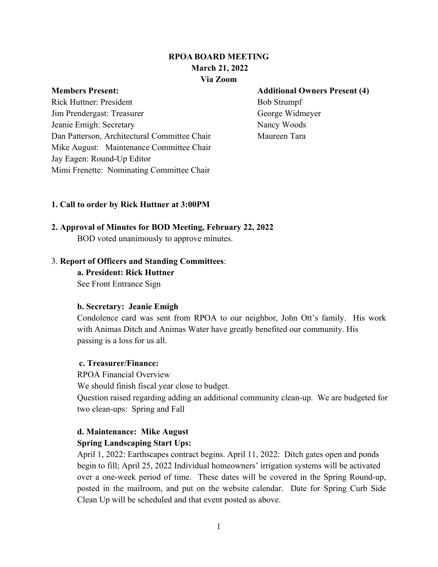# **RPOA BOARD MEETING March 21, 2022 Via Zoom**

Rick Huttner: President Bob Strumpf Jim Prendergast: Treasurer George Widmeyer Jeanie Emigh: Secretary Nancy Woods Dan Patterson, Architectural Committee Chair Maureen Tara Mike August: Maintenance Committee Chair Jay Eagen: Round-Up Editor Mimi Frenette: Nominating Committee Chair

#### **Members Present: Additional Owners Present (4)**

#### **1. Call to order by Rick Huttner at 3:00PM**

# **2. Approval of Minutes for BOD Meeting, February 22, 2022**

BOD voted unanimously to approve minutes.

#### 3. **Report of Officers and Standing Committees**:

**a. President: Rick Huttner**

See Front Entrance Sign

### **b. Secretary: Jeanie Emigh**

Condolence card was sent from RPOA to our neighbor, John Ott's family. His work with Animas Ditch and Animas Water have greatly benefited our community. His passing is a loss for us all.

### **c. Treasurer/Finance:**

RPOA Financial Overview We should finish fiscal year close to budget.

Question raised regarding adding an additional community clean-up. We are budgeted for two clean-ups: Spring and Fall

# **d. Maintenance: Mike August**

### **Spring Landscaping Start Ups:**

April 1, 2022: Earthscapes contract begins. April 11, 2022: Ditch gates open and ponds begin to fill; April 25, 2022 Individual homeowners' irrigation systems will be activated over a one-week period of time. These dates will be covered in the Spring Round-up, posted in the mailroom, and put on the website calendar. Date for Spring Curb Side Clean Up will be scheduled and that event posted as above.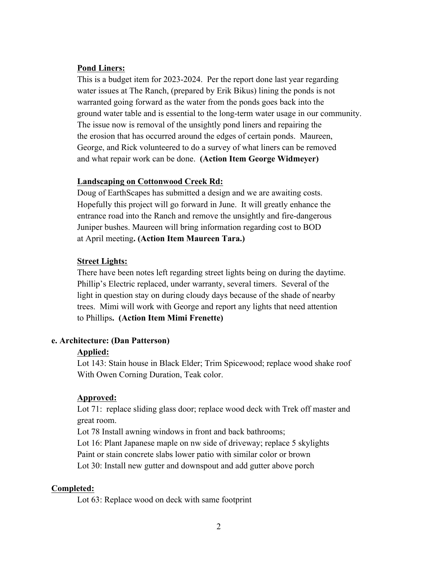#### **Pond Liners:**

This is a budget item for 2023-2024. Per the report done last year regarding water issues at The Ranch, (prepared by Erik Bikus) lining the ponds is not warranted going forward as the water from the ponds goes back into the ground water table and is essential to the long-term water usage in our community. The issue now is removal of the unsightly pond liners and repairing the the erosion that has occurred around the edges of certain ponds. Maureen, George, and Rick volunteered to do a survey of what liners can be removed and what repair work can be done. **(Action Item George Widmeyer)**

#### **Landscaping on Cottonwood Creek Rd:**

Doug of EarthScapes has submitted a design and we are awaiting costs. Hopefully this project will go forward in June. It will greatly enhance the entrance road into the Ranch and remove the unsightly and fire-dangerous Juniper bushes. Maureen will bring information regarding cost to BOD at April meeting**. (Action Item Maureen Tara.)**

#### **Street Lights:**

There have been notes left regarding street lights being on during the daytime. Phillip's Electric replaced, under warranty, several timers. Several of the light in question stay on during cloudy days because of the shade of nearby trees. Mimi will work with George and report any lights that need attention to Phillips**. (Action Item Mimi Frenette)**

#### **e. Architecture: (Dan Patterson)**

### **Applied:**

Lot 143: Stain house in Black Elder; Trim Spicewood; replace wood shake roof With Owen Corning Duration, Teak color.

### **Approved:**

Lot 71: replace sliding glass door; replace wood deck with Trek off master and great room.

Lot 78 Install awning windows in front and back bathrooms;

Lot 16: Plant Japanese maple on nw side of driveway; replace 5 skylights Paint or stain concrete slabs lower patio with similar color or brown

Lot 30: Install new gutter and downspout and add gutter above porch

# **Completed:**

Lot 63: Replace wood on deck with same footprint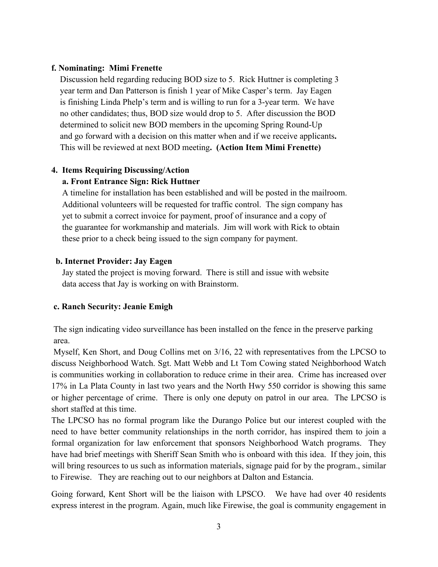#### **f. Nominating: Mimi Frenette**

Discussion held regarding reducing BOD size to 5. Rick Huttner is completing 3 year term and Dan Patterson is finish 1 year of Mike Casper's term. Jay Eagen is finishing Linda Phelp's term and is willing to run for a 3-year term. We have no other candidates; thus, BOD size would drop to 5. After discussion the BOD determined to solicit new BOD members in the upcoming Spring Round-Up and go forward with a decision on this matter when and if we receive applicants**.** This will be reviewed at next BOD meeting**. (Action Item Mimi Frenette)**

#### **4. Items Requiring Discussing/Action**

### **a. Front Entrance Sign: Rick Huttner**

 A timeline for installation has been established and will be posted in the mailroom. Additional volunteers will be requested for traffic control. The sign company has yet to submit a correct invoice for payment, proof of insurance and a copy of the guarantee for workmanship and materials. Jim will work with Rick to obtain these prior to a check being issued to the sign company for payment.

#### **b. Internet Provider: Jay Eagen**

Jay stated the project is moving forward. There is still and issue with website data access that Jay is working on with Brainstorm.

### **c. Ranch Security: Jeanie Emigh**

The sign indicating video surveillance has been installed on the fence in the preserve parking area.

Myself, Ken Short, and Doug Collins met on 3/16, 22 with representatives from the LPCSO to discuss Neighborhood Watch. Sgt. Matt Webb and Lt Tom Cowing stated Neighborhood Watch is communities working in collaboration to reduce crime in their area. Crime has increased over 17% in La Plata County in last two years and the North Hwy 550 corridor is showing this same or higher percentage of crime. There is only one deputy on patrol in our area. The LPCSO is short staffed at this time.

The LPCSO has no formal program like the Durango Police but our interest coupled with the need to have better community relationships in the north corridor, has inspired them to join a formal organization for law enforcement that sponsors Neighborhood Watch programs. They have had brief meetings with Sheriff Sean Smith who is onboard with this idea. If they join, this will bring resources to us such as information materials, signage paid for by the program., similar to Firewise. They are reaching out to our neighbors at Dalton and Estancia.

Going forward, Kent Short will be the liaison with LPSCO. We have had over 40 residents express interest in the program. Again, much like Firewise, the goal is community engagement in